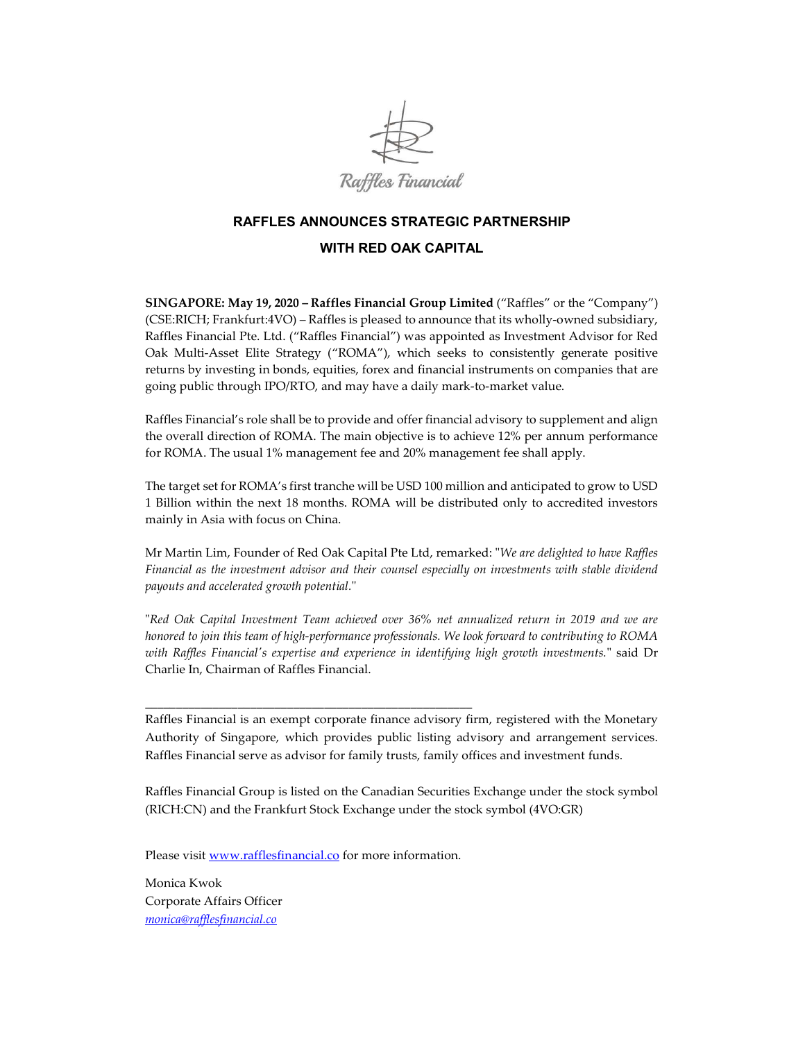

## RAFFLES ANNOUNCES STRATEGIC PARTNERSHIP WITH RED OAK CAPITAL

SINGAPORE: May 19, 2020 – Raffles Financial Group Limited ("Raffles" or the "Company") (CSE:RICH; Frankfurt:4VO) – Raffles is pleased to announce that its wholly-owned subsidiary, Raffles Financial Pte. Ltd. ("Raffles Financial") was appointed as Investment Advisor for Red Oak Multi-Asset Elite Strategy ("ROMA"), which seeks to consistently generate positive returns by investing in bonds, equities, forex and financial instruments on companies that are going public through IPO/RTO, and may have a daily mark-to-market value.

Raffles Financial's role shall be to provide and offer financial advisory to supplement and align the overall direction of ROMA. The main objective is to achieve 12% per annum performance for ROMA. The usual 1% management fee and 20% management fee shall apply.

The target set for ROMA's first tranche will be USD 100 million and anticipated to grow to USD 1 Billion within the next 18 months. ROMA will be distributed only to accredited investors mainly in Asia with focus on China.

Mr Martin Lim, Founder of Red Oak Capital Pte Ltd, remarked: "We are delighted to have Raffles Financial as the investment advisor and their counsel especially on investments with stable dividend payouts and accelerated growth potential."

"Red Oak Capital Investment Team achieved over 36% net annualized return in 2019 and we are honored to join this team of high-performance professionals. We look forward to contributing to ROMA with Raffles Financial's expertise and experience in identifying high growth investments." said Dr Charlie In, Chairman of Raffles Financial.

Raffles Financial is an exempt corporate finance advisory firm, registered with the Monetary Authority of Singapore, which provides public listing advisory and arrangement services. Raffles Financial serve as advisor for family trusts, family offices and investment funds.

Raffles Financial Group is listed on the Canadian Securities Exchange under the stock symbol (RICH:CN) and the Frankfurt Stock Exchange under the stock symbol (4VO:GR)

Please visit www.rafflesfinancial.co for more information.

\_\_\_\_\_\_\_\_\_\_\_\_\_\_\_\_\_\_\_\_\_\_\_\_\_\_\_\_\_\_\_\_\_\_\_\_\_\_\_\_\_\_\_\_\_\_\_\_\_\_\_\_\_

Monica Kwok Corporate Affairs Officer monica@rafflesfinancial.co